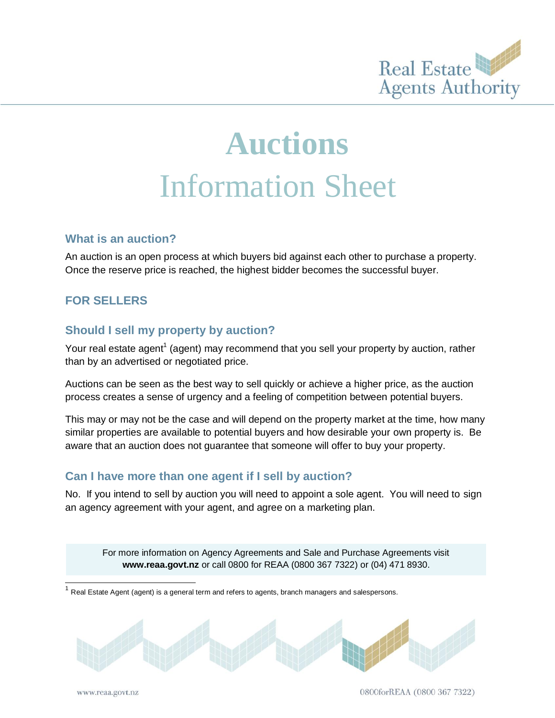

# **Auctions** Information Sheet

#### **What is an auction?**

An auction is an open process at which buyers bid against each other to purchase a property. Once the reserve price is reached, the highest bidder becomes the successful buyer.

# **FOR SELLERS**

#### **Should I sell my property by auction?**

Your real estate agent<sup>1</sup> (agent) may recommend that you sell your property by auction, rather than by an advertised or negotiated price.

Auctions can be seen as the best way to sell quickly or achieve a higher price, as the auction process creates a sense of urgency and a feeling of competition between potential buyers.

This may or may not be the case and will depend on the property market at the time, how many similar properties are available to potential buyers and how desirable your own property is. Be aware that an auction does not guarantee that someone will offer to buy your property.

#### **Can I have more than one agent if I sell by auction?**

No. If you intend to sell by auction you will need to appoint a sole agent. You will need to sign an agency agreement with your agent, and agree on a marketing plan.

For more information on Agency Agreements and Sale and Purchase Agreements visit **[www.reaa.govt.nz](http://www.reaa.govt.nz/)** or call 0800 for REAA (0800 367 7322) or (04) 471 8930.

1 Real Estate Agent (agent) is a general term and refers to agents, branch managers and salespersons.



l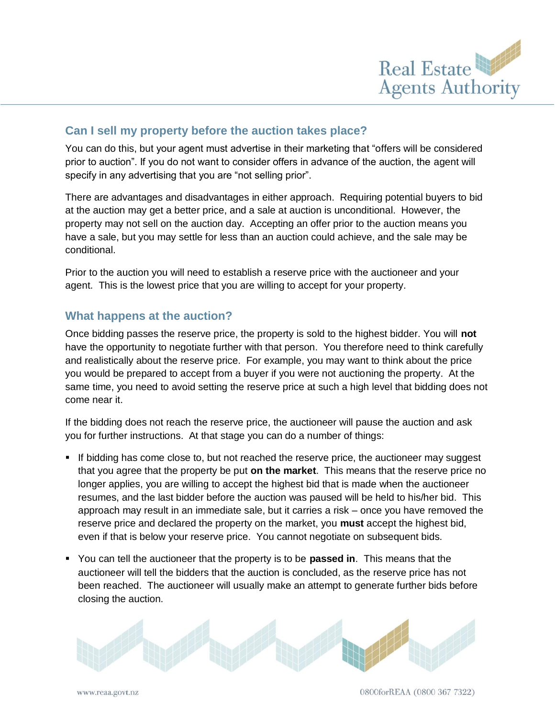

## **Can I sell my property before the auction takes place?**

You can do this, but your agent must advertise in their marketing that "offers will be considered prior to auction". If you do not want to consider offers in advance of the auction, the agent will specify in any advertising that you are "not selling prior".

There are advantages and disadvantages in either approach. Requiring potential buyers to bid at the auction may get a better price, and a sale at auction is unconditional. However, the property may not sell on the auction day. Accepting an offer prior to the auction means you have a sale, but you may settle for less than an auction could achieve, and the sale may be conditional.

Prior to the auction you will need to establish a reserve price with the auctioneer and your agent. This is the lowest price that you are willing to accept for your property.

## **What happens at the auction?**

Once bidding passes the reserve price, the property is sold to the highest bidder. You will **not** have the opportunity to negotiate further with that person. You therefore need to think carefully and realistically about the reserve price. For example, you may want to think about the price you would be prepared to accept from a buyer if you were not auctioning the property. At the same time, you need to avoid setting the reserve price at such a high level that bidding does not come near it.

If the bidding does not reach the reserve price, the auctioneer will pause the auction and ask you for further instructions. At that stage you can do a number of things:

- If bidding has come close to, but not reached the reserve price, the auctioneer may suggest that you agree that the property be put **on the market**. This means that the reserve price no longer applies, you are willing to accept the highest bid that is made when the auctioneer resumes, and the last bidder before the auction was paused will be held to his/her bid. This approach may result in an immediate sale, but it carries a risk – once you have removed the reserve price and declared the property on the market, you **must** accept the highest bid, even if that is below your reserve price. You cannot negotiate on subsequent bids.
- You can tell the auctioneer that the property is to be **passed in**. This means that the auctioneer will tell the bidders that the auction is concluded, as the reserve price has not been reached. The auctioneer will usually make an attempt to generate further bids before closing the auction.

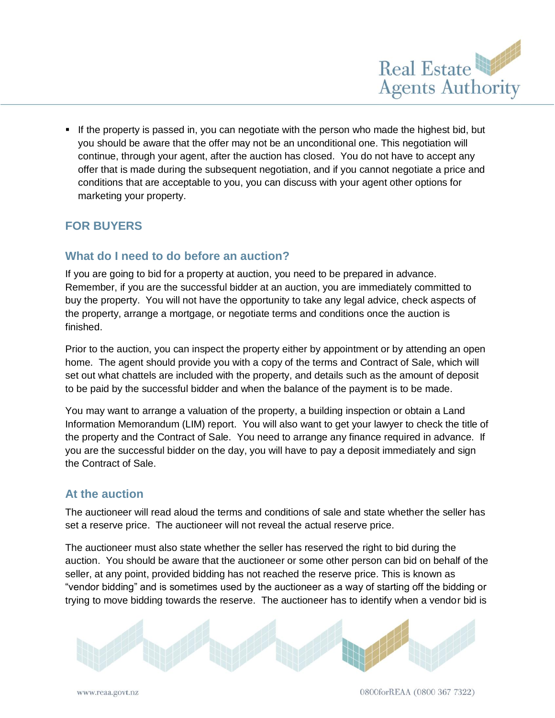

**If the property is passed in, you can negotiate with the person who made the highest bid, but** you should be aware that the offer may not be an unconditional one. This negotiation will continue, through your agent, after the auction has closed. You do not have to accept any offer that is made during the subsequent negotiation, and if you cannot negotiate a price and conditions that are acceptable to you, you can discuss with your agent other options for marketing your property.

# **FOR BUYERS**

## **What do I need to do before an auction?**

If you are going to bid for a property at auction, you need to be prepared in advance. Remember, if you are the successful bidder at an auction, you are immediately committed to buy the property. You will not have the opportunity to take any legal advice, check aspects of the property, arrange a mortgage, or negotiate terms and conditions once the auction is finished.

Prior to the auction, you can inspect the property either by appointment or by attending an open home. The agent should provide you with a copy of the terms and Contract of Sale, which will set out what chattels are included with the property, and details such as the amount of deposit to be paid by the successful bidder and when the balance of the payment is to be made.

You may want to arrange a valuation of the property, a building inspection or obtain a Land Information Memorandum (LIM) report. You will also want to get your lawyer to check the title of the property and the Contract of Sale. You need to arrange any finance required in advance. If you are the successful bidder on the day, you will have to pay a deposit immediately and sign the Contract of Sale.

#### **At the auction**

The auctioneer will read aloud the terms and conditions of sale and state whether the seller has set a reserve price. The auctioneer will not reveal the actual reserve price.

The auctioneer must also state whether the seller has reserved the right to bid during the auction. You should be aware that the auctioneer or some other person can bid on behalf of the seller, at any point, provided bidding has not reached the reserve price. This is known as "vendor bidding" and is sometimes used by the auctioneer as a way of starting off the bidding or trying to move bidding towards the reserve. The auctioneer has to identify when a vendor bid is